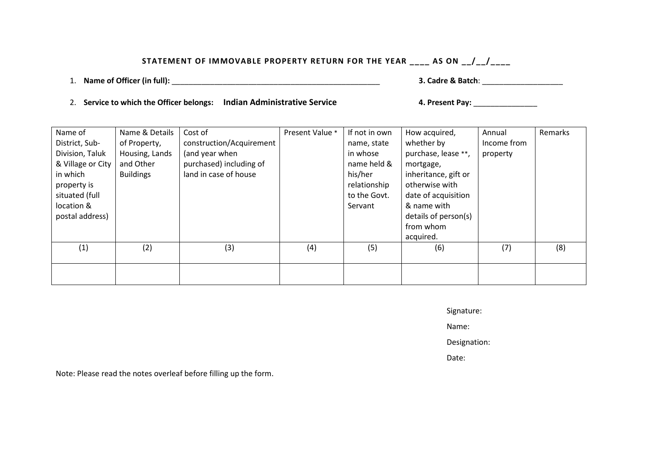## STATEMENT OF IMMOVABLE PROPERTY RETURN FOR THE YEAR \_\_\_\_ AS ON \_\_/\_\_/\_\_\_\_

1. Name of Officer (in full): \_\_\_\_\_\_\_\_\_\_\_\_\_\_\_\_\_\_\_\_\_\_\_\_\_\_\_\_\_\_\_\_\_\_\_\_\_\_\_\_\_\_\_\_\_\_\_\_\_ 3. Cadre & Batch: \_\_\_\_\_\_\_\_\_\_\_\_\_\_\_\_\_\_\_

2. Service to which the Officer belongs:

| Name of           | Name & Details   | Cost of                  | Present Value * | If not in own | How acquired,        | Annual      | Remarks |
|-------------------|------------------|--------------------------|-----------------|---------------|----------------------|-------------|---------|
| District, Sub-    | of Property,     | construction/Acquirement |                 | name, state   | whether by           | Income from |         |
| Division, Taluk   | Housing, Lands   | (and year when           |                 | in whose      | purchase, lease **,  | property    |         |
| & Village or City | and Other        | purchased) including of  |                 | name held &   | mortgage,            |             |         |
| in which          | <b>Buildings</b> | land in case of house    |                 | his/her       | inheritance, gift or |             |         |
| property is       |                  |                          |                 | relationship  | otherwise with       |             |         |
| situated (full    |                  |                          |                 | to the Govt.  | date of acquisition  |             |         |
| location &        |                  |                          |                 | Servant       | & name with          |             |         |
| postal address)   |                  |                          |                 |               | details of person(s) |             |         |
|                   |                  |                          |                 |               | from whom            |             |         |
|                   |                  |                          |                 |               | acquired.            |             |         |
| (1)               | (2)              | (3)                      | (4)             | (5)           | (6)                  | (7)         | (8)     |
|                   |                  |                          |                 |               |                      |             |         |
|                   |                  |                          |                 |               |                      |             |         |
|                   |                  |                          |                 |               |                      |             |         |

Signature:

Name:

Designation:

Date:

Note: Please read the notes overleaf before filling up the form.

Indian Administrative Service 4. Present Pay: \_\_\_\_\_\_\_\_\_\_\_\_\_\_\_